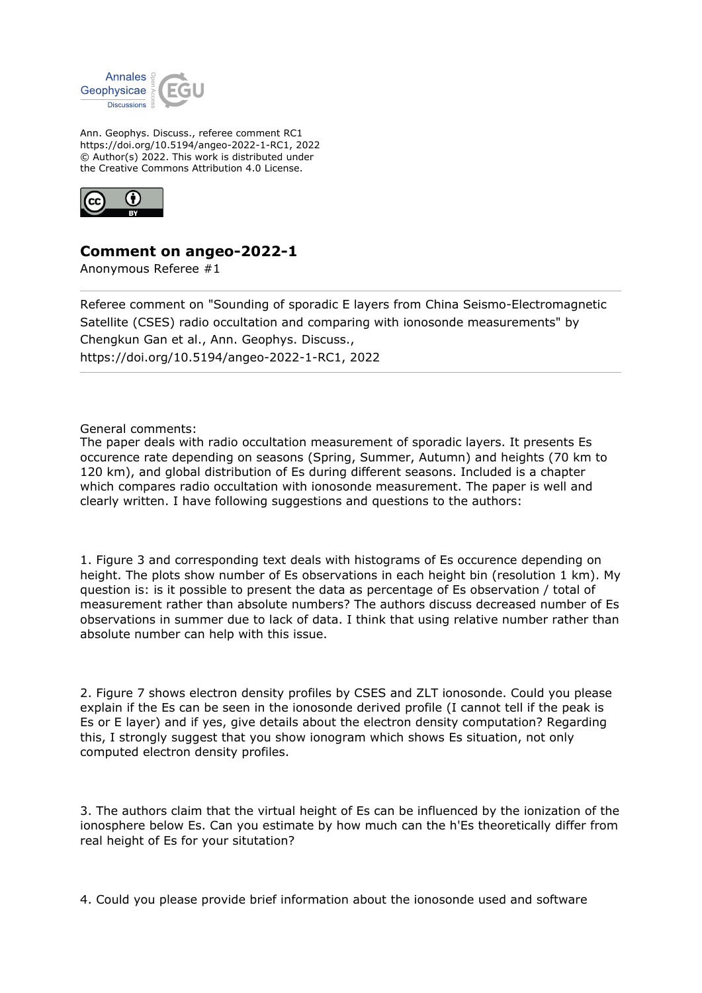

Ann. Geophys. Discuss., referee comment RC1 https://doi.org/10.5194/angeo-2022-1-RC1, 2022 © Author(s) 2022. This work is distributed under the Creative Commons Attribution 4.0 License.



## **Comment on angeo-2022-1**

Anonymous Referee #1

Referee comment on "Sounding of sporadic E layers from China Seismo-Electromagnetic Satellite (CSES) radio occultation and comparing with ionosonde measurements" by Chengkun Gan et al., Ann. Geophys. Discuss., https://doi.org/10.5194/angeo-2022-1-RC1, 2022

General comments:

The paper deals with radio occultation measurement of sporadic layers. It presents Es occurence rate depending on seasons (Spring, Summer, Autumn) and heights (70 km to 120 km), and global distribution of Es during different seasons. Included is a chapter which compares radio occultation with ionosonde measurement. The paper is well and clearly written. I have following suggestions and questions to the authors:

1. Figure 3 and corresponding text deals with histograms of Es occurence depending on height. The plots show number of Es observations in each height bin (resolution 1 km). My question is: is it possible to present the data as percentage of Es observation / total of measurement rather than absolute numbers? The authors discuss decreased number of Es observations in summer due to lack of data. I think that using relative number rather than absolute number can help with this issue.

2. Figure 7 shows electron density profiles by CSES and ZLT ionosonde. Could you please explain if the Es can be seen in the ionosonde derived profile (I cannot tell if the peak is Es or E layer) and if yes, give details about the electron density computation? Regarding this, I strongly suggest that you show ionogram which shows Es situation, not only computed electron density profiles.

3. The authors claim that the virtual height of Es can be influenced by the ionization of the ionosphere below Es. Can you estimate by how much can the h'Es theoretically differ from real height of Es for your situtation?

4. Could you please provide brief information about the ionosonde used and software